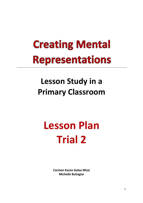## **Creating Mental Representations**

## **Lesson Study in a Primary Classroom**

## **Lesson Plan Trial 2**

**Carmen Karen Galea Mizzi Michelle Buhagiar**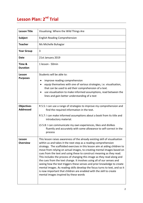## **Lesson Plan: 2<sup>nd</sup> Trial**

| <b>Lesson Title</b>                   | Visualising: Where the Wild Things Are                                                                                                                                                                                                                                                                                                                                                                                                                                                                                                                                                                                                                                                                                                                                                                          |
|---------------------------------------|-----------------------------------------------------------------------------------------------------------------------------------------------------------------------------------------------------------------------------------------------------------------------------------------------------------------------------------------------------------------------------------------------------------------------------------------------------------------------------------------------------------------------------------------------------------------------------------------------------------------------------------------------------------------------------------------------------------------------------------------------------------------------------------------------------------------|
| <b>Subject</b>                        | <b>English Reading Comprehension</b>                                                                                                                                                                                                                                                                                                                                                                                                                                                                                                                                                                                                                                                                                                                                                                            |
| <b>Teacher</b>                        | Ms Michelle Buhagiar                                                                                                                                                                                                                                                                                                                                                                                                                                                                                                                                                                                                                                                                                                                                                                                            |
| <b>Year Group</b>                     | 3                                                                                                                                                                                                                                                                                                                                                                                                                                                                                                                                                                                                                                                                                                                                                                                                               |
| <b>Date</b>                           | 21st January 2019                                                                                                                                                                                                                                                                                                                                                                                                                                                                                                                                                                                                                                                                                                                                                                                               |
| Time &<br><b>Duration</b>             | 1 lesson - 50min                                                                                                                                                                                                                                                                                                                                                                                                                                                                                                                                                                                                                                                                                                                                                                                                |
| Lesson<br><b>Purposes</b>             | Students will be able to:<br>improve reading comprehension<br>equip themselves with one of various strategies, i.e. visualisation,<br>that can be used to aid their comprehension of a text.<br>use visualisation to make informed assumptions, read between the<br>lines and gain better understanding of a text                                                                                                                                                                                                                                                                                                                                                                                                                                                                                               |
| <b>Objectives</b><br><b>Addressed</b> | R 5.5: I can use a range of strategies to improve my comprehension and<br>find the required information in the text.<br>R 5.7: I can make informed assumptions about a book from its title and<br>introductory material.<br>LS 5.8: I can communicate my own experiences, likes and dislikes<br>fluently and accurately with some allowance to self-correct in the<br>process                                                                                                                                                                                                                                                                                                                                                                                                                                   |
| Lesson<br><b>Overview</b>             | This lesson raises awareness of the already existing skill of visualisation<br>within us and takes it the next step as a reading comprehension<br>strategy. The scaffolded exercises in this lesson aim at aiding children to<br>move from relying on actual images, to creating mental images based on<br>cues from the text and using these to construct meaning as they read.<br>This includes the process of changing this image as they read along and<br>the cues from the text change. It involves using all of our senses and<br>seeing how the text triggers these senses and prior knowledge to create<br>mental images. As reading skills develop the focus turns to text, and so it<br>is now important that children are enabled with the skill to create<br>mental images inspired by these words |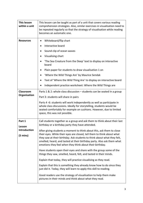| This lesson<br>within a unit                                  | This lesson can be taught as part of a unit that covers various reading<br>comprehension strategies. Also, similar exercises in visualisation need to<br>be repeated regularly so that the strategy of visualisation while reading<br>becomes an automatic one.                                                                                                  |
|---------------------------------------------------------------|------------------------------------------------------------------------------------------------------------------------------------------------------------------------------------------------------------------------------------------------------------------------------------------------------------------------------------------------------------------|
| <b>Resources</b>                                              | Whiteboard/flip chart<br>$\bullet$<br>Interactive board                                                                                                                                                                                                                                                                                                          |
|                                                               | Sound clip of ocean waves                                                                                                                                                                                                                                                                                                                                        |
|                                                               | Visualising chart                                                                                                                                                                                                                                                                                                                                                |
|                                                               | 'The Sea Creature from the Deep' text to display on interactive<br>board                                                                                                                                                                                                                                                                                         |
|                                                               | Plain paper for students to draw visualisation 1 on                                                                                                                                                                                                                                                                                                              |
|                                                               | 'Where the Wild Things Are' by Maurice Sendak                                                                                                                                                                                                                                                                                                                    |
|                                                               | Text of 'Where the Wild Thing Are' to display on interactive board                                                                                                                                                                                                                                                                                               |
|                                                               | Independent practice worksheet: Where the Wild Things are                                                                                                                                                                                                                                                                                                        |
| Classroom                                                     | Parts $1 & 2$ : whole class discussion – students can be seated in a group                                                                                                                                                                                                                                                                                       |
| Organisation                                                  | Part 3: students will share in pairs                                                                                                                                                                                                                                                                                                                             |
|                                                               | Parts 4 -6: students will work independently as well as participate in<br>whole class discussions. Ideally for storytelling, students would be<br>seated comfortably for example on cushions. However, due to limited<br>space, this was not possible.                                                                                                           |
| Part 1<br>Lesson<br><b>Introduction</b><br>$(5 \text{ mins})$ | Call students together as a group and ask them to think about their last<br>birthday or a birthday party they have attended.                                                                                                                                                                                                                                     |
|                                                               | After giving students a moment to think about this, ask them to close<br>their eyes. While their eyes are closed, tell them to think about what<br>they saw at their birthday. Ask students to think about what they felt,<br>smelled, heard, and tasted at their birthday party. Also ask them what<br>emotions they feel when they think about their birthday. |
|                                                               | Have students open their eyes and share with the group some of the<br>things they saw, smelled, heard, felt, and tasted in their minds.                                                                                                                                                                                                                          |
|                                                               | Explain that today, they will practice visualising as they read.                                                                                                                                                                                                                                                                                                 |
|                                                               | Explain that this is something they already know how to do since they<br>just did it. Today, they will learn to apply this skill to reading.                                                                                                                                                                                                                     |
|                                                               | Good readers use the strategy of visualisation to help them make<br>pictures in their minds and think about what they read.                                                                                                                                                                                                                                      |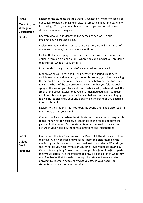| Part 2<br><b>Modelling the</b><br>strategy of<br><b>Visualisation</b> | Explain to the students that the word "visualisation" means to use all of<br>our senses to help us imagine or picture something in our minds, kind of<br>like having a TV in your head that you can see pictures on when you<br>close your eyes and imagine.                                                                                                                                                                                                                                                                                                                                                                                |
|-----------------------------------------------------------------------|---------------------------------------------------------------------------------------------------------------------------------------------------------------------------------------------------------------------------------------------------------------------------------------------------------------------------------------------------------------------------------------------------------------------------------------------------------------------------------------------------------------------------------------------------------------------------------------------------------------------------------------------|
| $(7 \text{ mins})$                                                    | Briefly review with students the five senses. When we use our<br>imagination, we are visualising.                                                                                                                                                                                                                                                                                                                                                                                                                                                                                                                                           |
|                                                                       | Explain to students that to practice visualisation, we will be using all of<br>our senses, our imagination and our emotions.                                                                                                                                                                                                                                                                                                                                                                                                                                                                                                                |
|                                                                       | Explain that you will play a sound and then share with them what you<br>visualise through a 'think aloud' - where you explain what you are doing,<br>thinking etc., while actually doing it.                                                                                                                                                                                                                                                                                                                                                                                                                                                |
|                                                                       | Play sound clips, e.g. the sound of waves crashing on a beach.                                                                                                                                                                                                                                                                                                                                                                                                                                                                                                                                                                              |
|                                                                       | Model closing your eyes and listening. When the sound clip is over,<br>explain to students that when you heard this sound, you pictured seeing<br>the ocean, hearing the waves, feeling the sand between your toes, and<br>feeling the heat of the sun on your skin. Explain that you felt the cool<br>spray of the sea on your face and could taste its salty taste and smell the<br>smell of the ocean. Explain that you also imagined eating an ice-cream<br>and how it tasted in your mouth. Explain that you feel calm and happy.<br>It is helpful to also draw your visualization on the board as you describe<br>it to the students. |
|                                                                       | Explain to the students that you took the sound and made pictures or a<br>mini movie of it in your mind.                                                                                                                                                                                                                                                                                                                                                                                                                                                                                                                                    |
|                                                                       | Connect the idea that when the students read, the author is using words<br>to tell them what to visualize. It is their job as the readers to form the<br>pictures in their mind. Ask the students what you used to create the<br>picture in your head (i.e. the senses, emotions and imagination).                                                                                                                                                                                                                                                                                                                                          |
| Part 3<br><b>Guided</b><br><b>Practice</b><br>$(10 \text{ mins})$     | Read aloud 'The Sea Creature from the Deep'. Ask the students to close<br>their eyes while you read and visualise - paint the pictures/make the<br>movie to go with the words in their head. Ask the students 'What do you<br>see? What do you hear? What can you smell? Can you taste anything?<br>Can you feel anything? How does it make you feel (emotions)?' to guide<br>their visualisation. Ask the students to draw a quick sketch of what they<br>saw. Emphasise that it needs to be a quick sketch, not an elaborate<br>drawing. Just something to show what you saw in your head. The<br>students can share their work in pairs. |